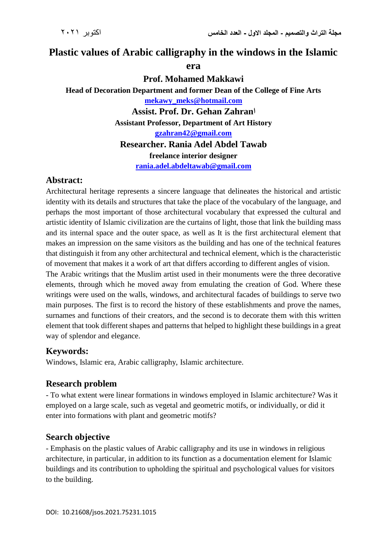# **Plastic values of Arabic calligraphy in the windows in the Islamic era**

**Prof. Mohamed Makkawi**

**Head of Decoration Department and former Dean of the College of Fine Arts [mekawy\\_meks@hotmail.com](mailto:mekawy_meks@hotmail.com) Assist. Prof. Dr. Gehan Zahranا Assistant Professor, Department of Art History [gzahran42@gmail.com](mailto:gzahran42@gmail.com) Researcher. Rania Adel Abdel Tawab freelance interior designer [rania.adel.abdeltawab@gmail.com](mailto:rania.adel.abdeltawab@gmail.com)** 

#### **Abstract:**

Architectural heritage represents a sincere language that delineates the historical and artistic identity with its details and structures that take the place of the vocabulary of the language, and perhaps the most important of those architectural vocabulary that expressed the cultural and artistic identity of Islamic civilization are the curtains of light, those that link the building mass and its internal space and the outer space, as well as It is the first architectural element that makes an impression on the same visitors as the building and has one of the technical features that distinguish it from any other architectural and technical element, which is the characteristic of movement that makes it a work of art that differs according to different angles of vision.

The Arabic writings that the Muslim artist used in their monuments were the three decorative elements, through which he moved away from emulating the creation of God. Where these writings were used on the walls, windows, and architectural facades of buildings to serve two main purposes. The first is to record the history of these establishments and prove the names, surnames and functions of their creators, and the second is to decorate them with this written element that took different shapes and patterns that helped to highlight these buildings in a great way of splendor and elegance.

## **Keywords:**

Windows, Islamic era, Arabic calligraphy, Islamic architecture.

## **Research problem**

- To what extent were linear formations in windows employed in Islamic architecture? Was it employed on a large scale, such as vegetal and geometric motifs, or individually, or did it enter into formations with plant and geometric motifs?

## **Search objective**

- Emphasis on the plastic values of Arabic calligraphy and its use in windows in religious architecture, in particular, in addition to its function as a documentation element for Islamic buildings and its contribution to upholding the spiritual and psychological values for visitors to the building.